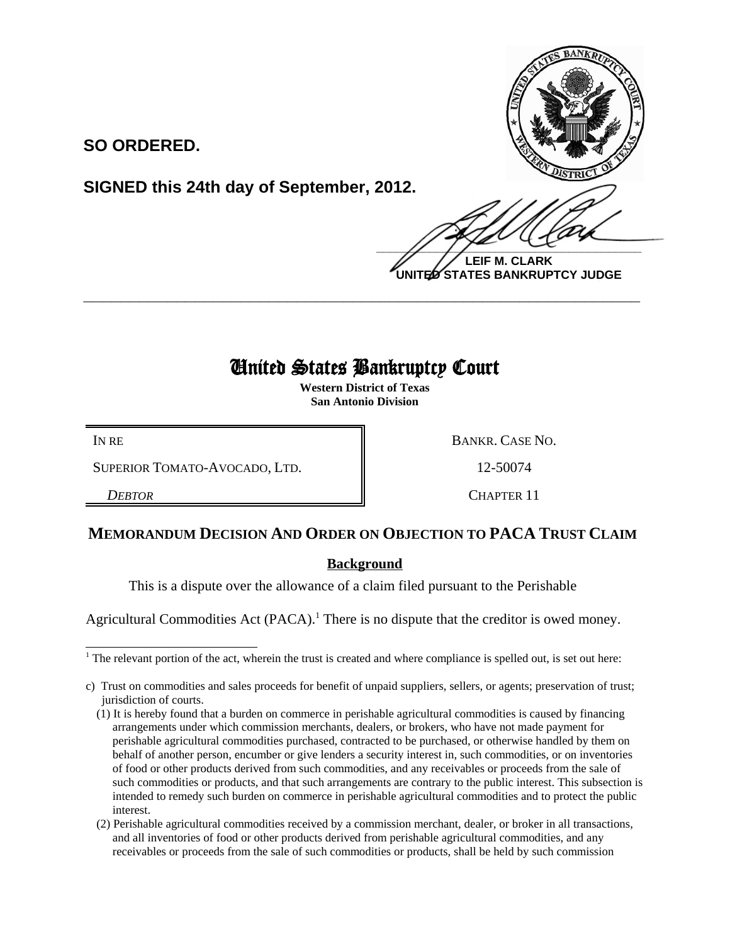

**SO ORDERED.**

**SIGNED this 24th day of September, 2012.**

 $\frac{1}{2}$ **LEIF M. CLARK UNITED STATES BANKRUPTCY JUDGE**

# United States Bankruptcy Court

**\_\_\_\_\_\_\_\_\_\_\_\_\_\_\_\_\_\_\_\_\_\_\_\_\_\_\_\_\_\_\_\_\_\_\_\_\_\_\_\_\_\_\_\_\_\_\_\_\_\_\_\_\_\_\_\_\_\_\_\_**

**Western District of Texas San Antonio Division**

IN RE BANKR. CASE NO.

SUPERIOR TOMATO-AVOCADO, LTD.  $\|$  12-50074

**DEBTOR CHAPTER 11** 

## **MEMORANDUM DECISION AND ORDER ON OBJECTION TO PACA TRUST CLAIM**

## **Background**

This is a dispute over the allowance of a claim filed pursuant to the Perishable

Agricultural Commodities Act (PACA).<sup>1</sup> There is no dispute that the creditor is owed money.

<sup>&</sup>lt;sup>1</sup> The relevant portion of the act, wherein the trust is created and where compliance is spelled out, is set out here:

c) Trust on commodities and sales proceeds for benefit of unpaid suppliers, sellers, or agents; preservation of trust; jurisdiction of courts.

<sup>(1)</sup> It is hereby found that a burden on commerce in perishable agricultural commodities is caused by financing arrangements under which commission merchants, dealers, or brokers, who have not made payment for perishable agricultural commodities purchased, contracted to be purchased, or otherwise handled by them on behalf of another person, encumber or give lenders a security interest in, such commodities, or on inventories of food or other products derived from such commodities, and any receivables or proceeds from the sale of such commodities or products, and that such arrangements are contrary to the public interest. This subsection is intended to remedy such burden on commerce in perishable agricultural commodities and to protect the public interest.

<sup>(2)</sup> Perishable agricultural commodities received by a commission merchant, dealer, or broker in all transactions, and all inventories of food or other products derived from perishable agricultural commodities, and any receivables or proceeds from the sale of such commodities or products, shall be held by such commission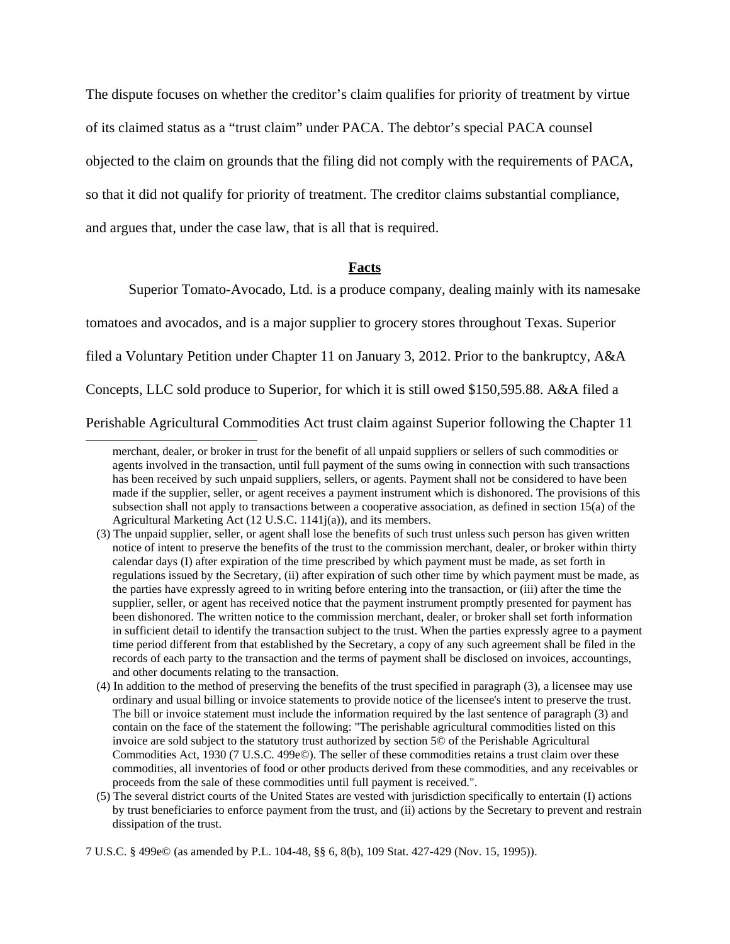The dispute focuses on whether the creditor's claim qualifies for priority of treatment by virtue

of its claimed status as a "trust claim" under PACA. The debtor's special PACA counsel

objected to the claim on grounds that the filing did not comply with the requirements of PACA,

so that it did not qualify for priority of treatment. The creditor claims substantial compliance,

and argues that, under the case law, that is all that is required.

### **Facts**

Superior Tomato-Avocado, Ltd. is a produce company, dealing mainly with its namesake

tomatoes and avocados, and is a major supplier to grocery stores throughout Texas. Superior

filed a Voluntary Petition under Chapter 11 on January 3, 2012. Prior to the bankruptcy, A&A

Concepts, LLC sold produce to Superior, for which it is still owed \$150,595.88. A&A filed a

Perishable Agricultural Commodities Act trust claim against Superior following the Chapter 11

merchant, dealer, or broker in trust for the benefit of all unpaid suppliers or sellers of such commodities or agents involved in the transaction, until full payment of the sums owing in connection with such transactions has been received by such unpaid suppliers, sellers, or agents. Payment shall not be considered to have been made if the supplier, seller, or agent receives a payment instrument which is dishonored. The provisions of this subsection shall not apply to transactions between a cooperative association, as defined in section 15(a) of the Agricultural Marketing Act (12 U.S.C. 1141j(a)), and its members.

<sup>(3)</sup> The unpaid supplier, seller, or agent shall lose the benefits of such trust unless such person has given written notice of intent to preserve the benefits of the trust to the commission merchant, dealer, or broker within thirty calendar days (I) after expiration of the time prescribed by which payment must be made, as set forth in regulations issued by the Secretary, (ii) after expiration of such other time by which payment must be made, as the parties have expressly agreed to in writing before entering into the transaction, or (iii) after the time the supplier, seller, or agent has received notice that the payment instrument promptly presented for payment has been dishonored. The written notice to the commission merchant, dealer, or broker shall set forth information in sufficient detail to identify the transaction subject to the trust. When the parties expressly agree to a payment time period different from that established by the Secretary, a copy of any such agreement shall be filed in the records of each party to the transaction and the terms of payment shall be disclosed on invoices, accountings, and other documents relating to the transaction.

<sup>(4)</sup> In addition to the method of preserving the benefits of the trust specified in paragraph (3), a licensee may use ordinary and usual billing or invoice statements to provide notice of the licensee's intent to preserve the trust. The bill or invoice statement must include the information required by the last sentence of paragraph (3) and contain on the face of the statement the following: "The perishable agricultural commodities listed on this invoice are sold subject to the statutory trust authorized by section 5© of the Perishable Agricultural Commodities Act, 1930 (7 U.S.C. 499e©). The seller of these commodities retains a trust claim over these commodities, all inventories of food or other products derived from these commodities, and any receivables or proceeds from the sale of these commodities until full payment is received.".

<sup>(5)</sup> The several district courts of the United States are vested with jurisdiction specifically to entertain (I) actions by trust beneficiaries to enforce payment from the trust, and (ii) actions by the Secretary to prevent and restrain dissipation of the trust.

<sup>7</sup> U.S.C. § 499e© (as amended by P.L. 104-48, §§ 6, 8(b), 109 Stat. 427-429 (Nov. 15, 1995)).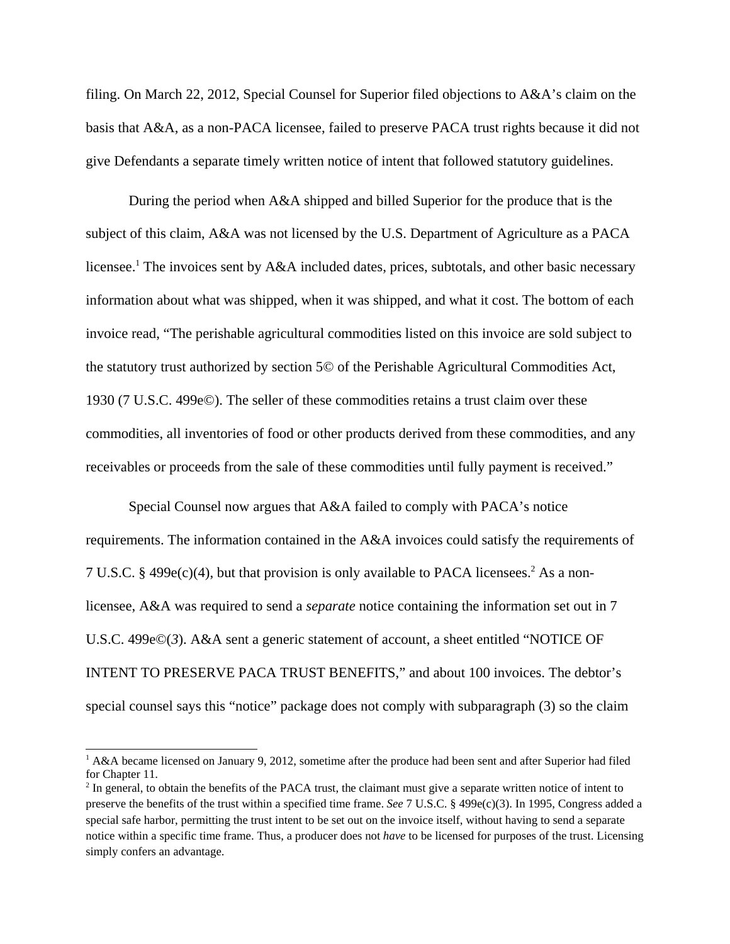filing. On March 22, 2012, Special Counsel for Superior filed objections to A&A's claim on the basis that A&A, as a non-PACA licensee, failed to preserve PACA trust rights because it did not give Defendants a separate timely written notice of intent that followed statutory guidelines.

During the period when A&A shipped and billed Superior for the produce that is the subject of this claim, A&A was not licensed by the U.S. Department of Agriculture as a PACA licensee.<sup>1</sup> The invoices sent by A&A included dates, prices, subtotals, and other basic necessary information about what was shipped, when it was shipped, and what it cost. The bottom of each invoice read, "The perishable agricultural commodities listed on this invoice are sold subject to the statutory trust authorized by section 5© of the Perishable Agricultural Commodities Act, 1930 (7 U.S.C. 499e©). The seller of these commodities retains a trust claim over these commodities, all inventories of food or other products derived from these commodities, and any receivables or proceeds from the sale of these commodities until fully payment is received."

Special Counsel now argues that A&A failed to comply with PACA's notice requirements. The information contained in the A&A invoices could satisfy the requirements of 7 U.S.C. § 499e(c)(4), but that provision is only available to PACA licensees.<sup>2</sup> As a nonlicensee, A&A was required to send a *separate* notice containing the information set out in 7 U.S.C. 499e©(*3*). A&A sent a generic statement of account, a sheet entitled "NOTICE OF INTENT TO PRESERVE PACA TRUST BENEFITS," and about 100 invoices. The debtor's special counsel says this "notice" package does not comply with subparagraph (3) so the claim

<sup>&</sup>lt;sup>1</sup> A&A became licensed on January 9, 2012, sometime after the produce had been sent and after Superior had filed for Chapter 11.

<sup>&</sup>lt;sup>2</sup> In general, to obtain the benefits of the PACA trust, the claimant must give a separate written notice of intent to preserve the benefits of the trust within a specified time frame. *See* 7 U.S.C. § 499e(c)(3). In 1995, Congress added a special safe harbor, permitting the trust intent to be set out on the invoice itself, without having to send a separate notice within a specific time frame. Thus, a producer does not *have* to be licensed for purposes of the trust. Licensing simply confers an advantage.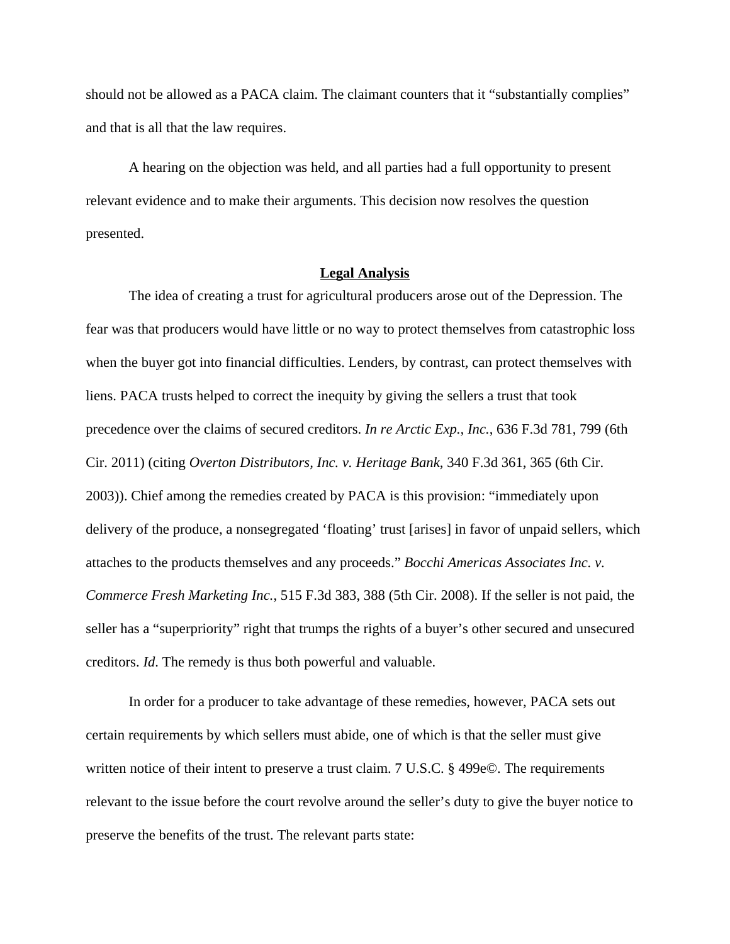should not be allowed as a PACA claim. The claimant counters that it "substantially complies" and that is all that the law requires.

A hearing on the objection was held, and all parties had a full opportunity to present relevant evidence and to make their arguments. This decision now resolves the question presented.

### **Legal Analysis**

The idea of creating a trust for agricultural producers arose out of the Depression. The fear was that producers would have little or no way to protect themselves from catastrophic loss when the buyer got into financial difficulties. Lenders, by contrast, can protect themselves with liens. PACA trusts helped to correct the inequity by giving the sellers a trust that took precedence over the claims of secured creditors. *In re Arctic Exp., Inc.*, 636 F.3d 781, 799 (6th Cir. 2011) (citing *Overton Distributors, Inc. v. Heritage Bank*, 340 F.3d 361, 365 (6th Cir. 2003)). Chief among the remedies created by PACA is this provision: "immediately upon delivery of the produce, a nonsegregated 'floating' trust [arises] in favor of unpaid sellers, which attaches to the products themselves and any proceeds." *Bocchi Americas Associates Inc. v. Commerce Fresh Marketing Inc.*, 515 F.3d 383, 388 (5th Cir. 2008). If the seller is not paid, the seller has a "superpriority" right that trumps the rights of a buyer's other secured and unsecured creditors. *Id*. The remedy is thus both powerful and valuable.

In order for a producer to take advantage of these remedies, however, PACA sets out certain requirements by which sellers must abide, one of which is that the seller must give written notice of their intent to preserve a trust claim. 7 U.S.C. § 499e©. The requirements relevant to the issue before the court revolve around the seller's duty to give the buyer notice to preserve the benefits of the trust. The relevant parts state: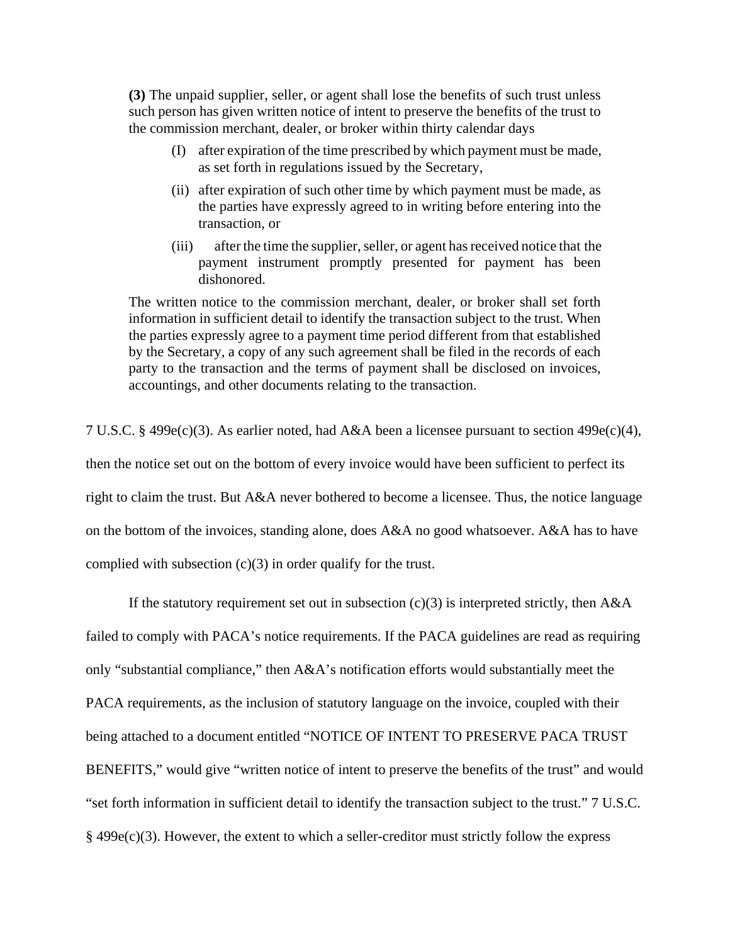**(3)** The unpaid supplier, seller, or agent shall lose the benefits of such trust unless such person has given written notice of intent to preserve the benefits of the trust to the commission merchant, dealer, or broker within thirty calendar days

- (I) after expiration of the time prescribed by which payment must be made, as set forth in regulations issued by the Secretary,
- (ii) after expiration of such other time by which payment must be made, as the parties have expressly agreed to in writing before entering into the transaction, or
- (iii) after the time the supplier, seller, or agent has received notice that the payment instrument promptly presented for payment has been dishonored.

The written notice to the commission merchant, dealer, or broker shall set forth information in sufficient detail to identify the transaction subject to the trust. When the parties expressly agree to a payment time period different from that established by the Secretary, a copy of any such agreement shall be filed in the records of each party to the transaction and the terms of payment shall be disclosed on invoices, accountings, and other documents relating to the transaction.

7 U.S.C. § 499e(c)(3). As earlier noted, had A&A been a licensee pursuant to section 499e(c)(4), then the notice set out on the bottom of every invoice would have been sufficient to perfect its right to claim the trust. But A&A never bothered to become a licensee. Thus, the notice language on the bottom of the invoices, standing alone, does A&A no good whatsoever. A&A has to have complied with subsection (c)(3) in order qualify for the trust.

If the statutory requirement set out in subsection  $(c)(3)$  is interpreted strictly, then A&A failed to comply with PACA's notice requirements. If the PACA guidelines are read as requiring only "substantial compliance," then A&A's notification efforts would substantially meet the PACA requirements, as the inclusion of statutory language on the invoice, coupled with their being attached to a document entitled "NOTICE OF INTENT TO PRESERVE PACA TRUST BENEFITS," would give "written notice of intent to preserve the benefits of the trust" and would "set forth information in sufficient detail to identify the transaction subject to the trust." 7 U.S.C.  $§$  499 $e(c)(3)$ . However, the extent to which a seller-creditor must strictly follow the express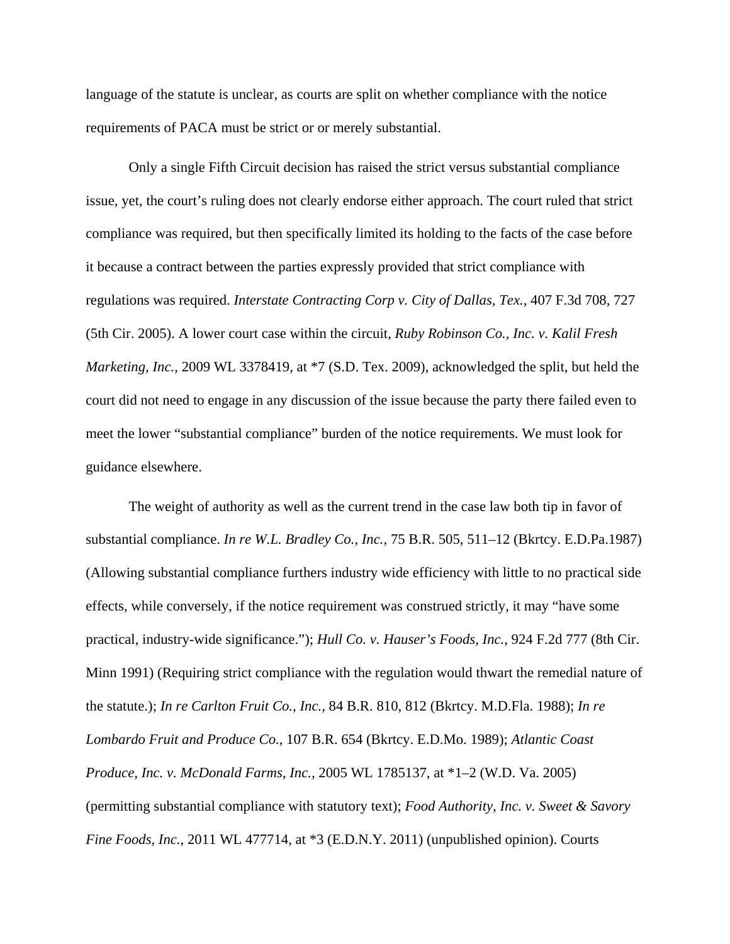language of the statute is unclear, as courts are split on whether compliance with the notice requirements of PACA must be strict or or merely substantial.

Only a single Fifth Circuit decision has raised the strict versus substantial compliance issue, yet, the court's ruling does not clearly endorse either approach. The court ruled that strict compliance was required, but then specifically limited its holding to the facts of the case before it because a contract between the parties expressly provided that strict compliance with regulations was required. *Interstate Contracting Corp v. City of Dallas, Tex.,* 407 F.3d 708, 727 (5th Cir. 2005). A lower court case within the circuit, *Ruby Robinson Co., Inc. v. Kalil Fresh Marketing, Inc.*, 2009 WL 3378419, at \*7 (S.D. Tex. 2009), acknowledged the split, but held the court did not need to engage in any discussion of the issue because the party there failed even to meet the lower "substantial compliance" burden of the notice requirements. We must look for guidance elsewhere.

The weight of authority as well as the current trend in the case law both tip in favor of substantial compliance. *In re W.L. Bradley Co., Inc.,* 75 B.R. 505, 511–12 (Bkrtcy. E.D.Pa.1987) (Allowing substantial compliance furthers industry wide efficiency with little to no practical side effects, while conversely, if the notice requirement was construed strictly, it may "have some practical, industry-wide significance."); *Hull Co. v. Hauser's Foods, Inc.*, 924 F.2d 777 (8th Cir. Minn 1991) (Requiring strict compliance with the regulation would thwart the remedial nature of the statute.); *In re Carlton Fruit Co., Inc.,* 84 B.R. 810, 812 (Bkrtcy. M.D.Fla. 1988); *In re Lombardo Fruit and Produce Co.,* 107 B.R. 654 (Bkrtcy. E.D.Mo. 1989); *Atlantic Coast Produce, Inc. v. McDonald Farms, Inc.,* 2005 WL 1785137, at \*1–2 (W.D. Va. 2005) (permitting substantial compliance with statutory text); *Food Authority, Inc. v. Sweet & Savory Fine Foods, Inc.*, 2011 WL 477714, at  $*3$  (E.D.N.Y. 2011) (unpublished opinion). Courts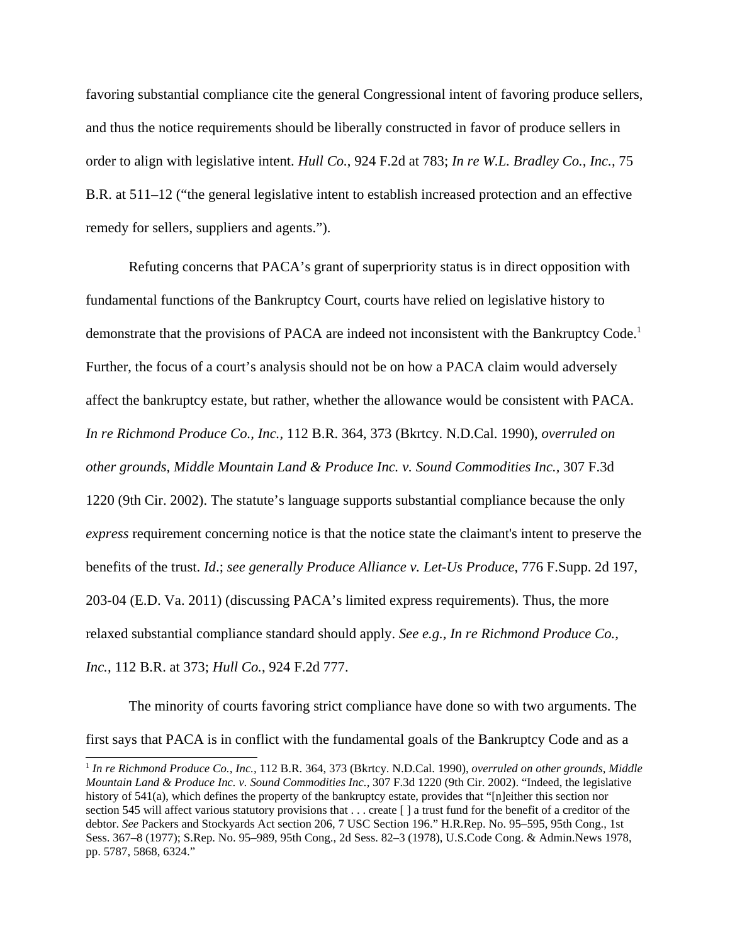favoring substantial compliance cite the general Congressional intent of favoring produce sellers, and thus the notice requirements should be liberally constructed in favor of produce sellers in order to align with legislative intent. *Hull Co.*, 924 F.2d at 783; *In re W.L. Bradley Co., Inc.,* 75 B.R. at 511–12 ("the general legislative intent to establish increased protection and an effective remedy for sellers, suppliers and agents.").

Refuting concerns that PACA's grant of superpriority status is in direct opposition with fundamental functions of the Bankruptcy Court, courts have relied on legislative history to demonstrate that the provisions of PACA are indeed not inconsistent with the Bankruptcy Code.<sup>1</sup> Further, the focus of a court's analysis should not be on how a PACA claim would adversely affect the bankruptcy estate, but rather, whether the allowance would be consistent with PACA. *In re Richmond Produce Co., Inc.,* 112 B.R. 364, 373 (Bkrtcy. N.D.Cal. 1990), *overruled on other grounds, Middle Mountain Land & Produce Inc. v. Sound Commodities Inc.,* 307 F.3d 1220 (9th Cir. 2002). The statute's language supports substantial compliance because the only *express* requirement concerning notice is that the notice state the claimant's intent to preserve the benefits of the trust. *Id*.; *see generally Produce Alliance v. Let-Us Produce*, 776 F.Supp. 2d 197, 203-04 (E.D. Va. 2011) (discussing PACA's limited express requirements). Thus, the more relaxed substantial compliance standard should apply. *See e.g., In re Richmond Produce Co., Inc.,* 112 B.R. at 373; *Hull Co.*, 924 F.2d 777.

The minority of courts favoring strict compliance have done so with two arguments. The first says that PACA is in conflict with the fundamental goals of the Bankruptcy Code and as a

<sup>1</sup> *In re Richmond Produce Co., Inc.,* 112 B.R. 364, 373 (Bkrtcy. N.D.Cal. 1990), *overruled on other grounds, Middle Mountain Land & Produce Inc. v. Sound Commodities Inc.,* 307 F.3d 1220 (9th Cir. 2002). "Indeed, the legislative history of 541(a), which defines the property of the bankruptcy estate, provides that "[n]either this section nor section 545 will affect various statutory provisions that . . . create [ ] a trust fund for the benefit of a creditor of the debtor. *See* Packers and Stockyards Act section 206, 7 USC Section 196." H.R.Rep. No. 95–595, 95th Cong., 1st Sess. 367–8 (1977); S.Rep. No. 95–989, 95th Cong., 2d Sess. 82–3 (1978), U.S.Code Cong. & Admin.News 1978, pp. 5787, 5868, 6324."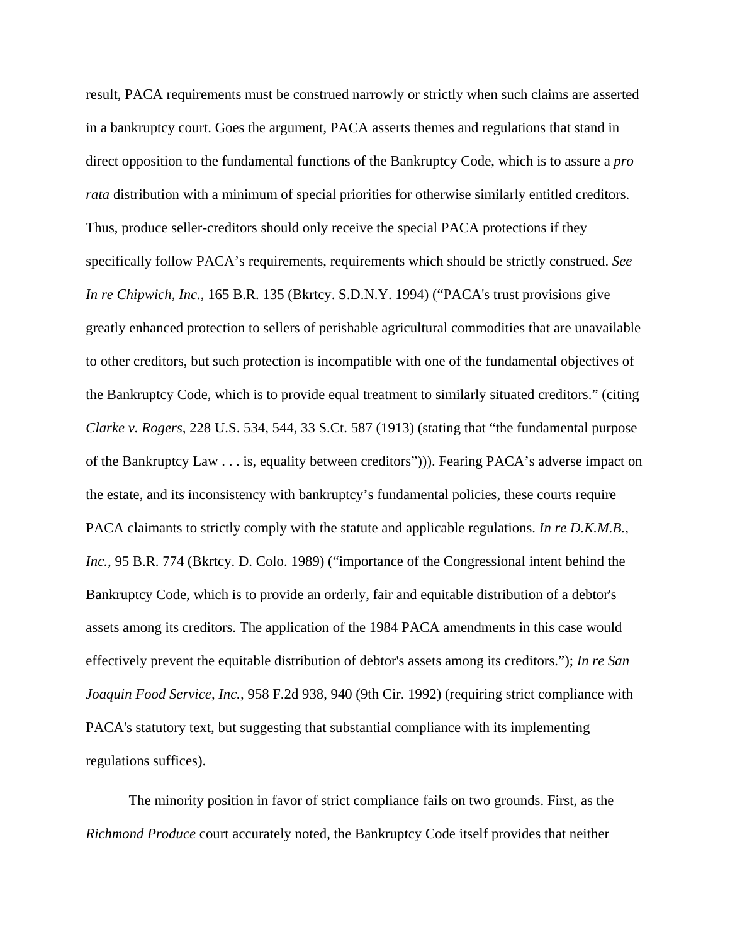result, PACA requirements must be construed narrowly or strictly when such claims are asserted in a bankruptcy court. Goes the argument, PACA asserts themes and regulations that stand in direct opposition to the fundamental functions of the Bankruptcy Code, which is to assure a *pro rata* distribution with a minimum of special priorities for otherwise similarly entitled creditors. Thus, produce seller-creditors should only receive the special PACA protections if they specifically follow PACA's requirements, requirements which should be strictly construed. *See In re Chipwich, Inc.*, 165 B.R. 135 (Bkrtcy. S.D.N.Y. 1994) ("PACA's trust provisions give greatly enhanced protection to sellers of perishable agricultural commodities that are unavailable to other creditors, but such protection is incompatible with one of the fundamental objectives of the Bankruptcy Code, which is to provide equal treatment to similarly situated creditors." (citing *Clarke v. Rogers,* 228 U.S. 534, 544, 33 S.Ct. 587 (1913) (stating that "the fundamental purpose of the Bankruptcy Law . . . is, equality between creditors"))). Fearing PACA's adverse impact on the estate, and its inconsistency with bankruptcy's fundamental policies, these courts require PACA claimants to strictly comply with the statute and applicable regulations. *In re D.K.M.B., Inc.,* 95 B.R. 774 (Bkrtcy. D. Colo. 1989) ("importance of the Congressional intent behind the Bankruptcy Code, which is to provide an orderly, fair and equitable distribution of a debtor's assets among its creditors. The application of the 1984 PACA amendments in this case would effectively prevent the equitable distribution of debtor's assets among its creditors."); *In re San Joaquin Food Service, Inc.,* 958 F.2d 938, 940 (9th Cir. 1992) (requiring strict compliance with PACA's statutory text, but suggesting that substantial compliance with its implementing regulations suffices).

The minority position in favor of strict compliance fails on two grounds. First, as the *Richmond Produce* court accurately noted, the Bankruptcy Code itself provides that neither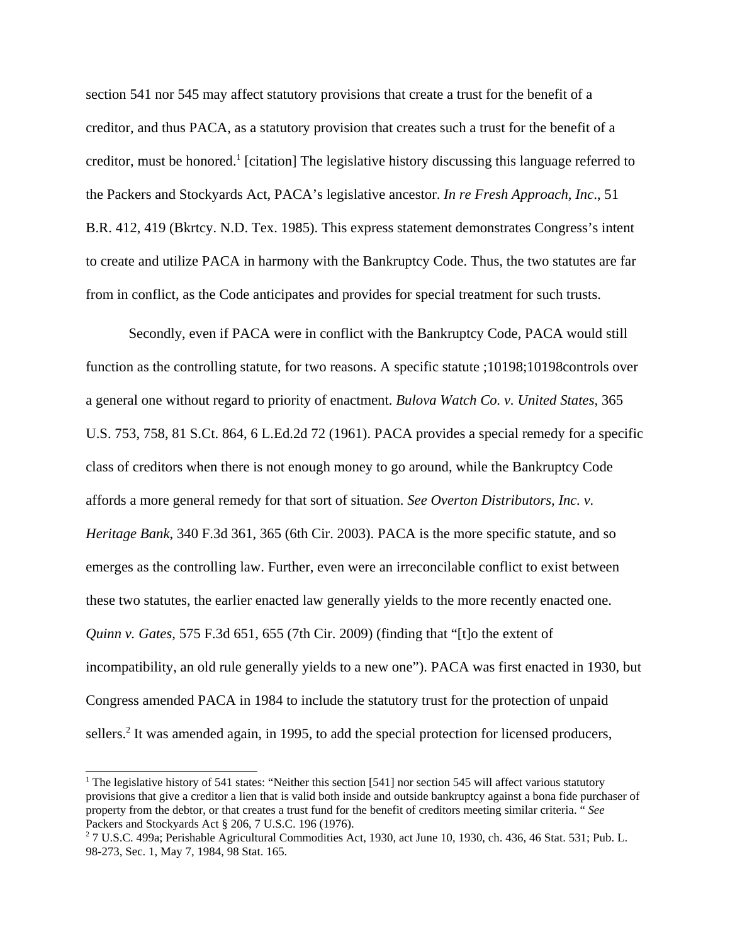section 541 nor 545 may affect statutory provisions that create a trust for the benefit of a creditor, and thus PACA, as a statutory provision that creates such a trust for the benefit of a creditor, must be honored.<sup>1</sup> [citation] The legislative history discussing this language referred to the Packers and Stockyards Act, PACA's legislative ancestor. *In re Fresh Approach, Inc*., 51 B.R. 412, 419 (Bkrtcy. N.D. Tex. 1985). This express statement demonstrates Congress's intent to create and utilize PACA in harmony with the Bankruptcy Code. Thus, the two statutes are far from in conflict, as the Code anticipates and provides for special treatment for such trusts.

Secondly, even if PACA were in conflict with the Bankruptcy Code, PACA would still function as the controlling statute, for two reasons. A specific statute ;10198;10198controls over a general one without regard to priority of enactment. *Bulova Watch Co. v. United States,* 365 U.S. 753, 758, 81 S.Ct. 864, 6 L.Ed.2d 72 (1961). PACA provides a special remedy for a specific class of creditors when there is not enough money to go around, while the Bankruptcy Code affords a more general remedy for that sort of situation. *See Overton Distributors, Inc. v. Heritage Bank*, 340 F.3d 361, 365 (6th Cir. 2003). PACA is the more specific statute, and so emerges as the controlling law. Further, even were an irreconcilable conflict to exist between these two statutes, the earlier enacted law generally yields to the more recently enacted one. *Quinn v. Gates,* 575 F.3d 651, 655 (7th Cir. 2009) (finding that "[t]o the extent of incompatibility, an old rule generally yields to a new one"). PACA was first enacted in 1930, but Congress amended PACA in 1984 to include the statutory trust for the protection of unpaid sellers.<sup>2</sup> It was amended again, in 1995, to add the special protection for licensed producers,

<sup>&</sup>lt;sup>1</sup> The legislative history of 541 states: "Neither this section [541] nor section 545 will affect various statutory provisions that give a creditor a lien that is valid both inside and outside bankruptcy against a bona fide purchaser of property from the debtor, or that creates a trust fund for the benefit of creditors meeting similar criteria. " *See* Packers and Stockyards Act § 206, 7 U.S.C. 196 (1976).

 $27$  U.S.C. 499a; Perishable Agricultural Commodities Act, 1930, act June 10, 1930, ch. 436, 46 Stat. 531; Pub. L. 98-273, Sec. 1, May 7, 1984, 98 Stat. 165.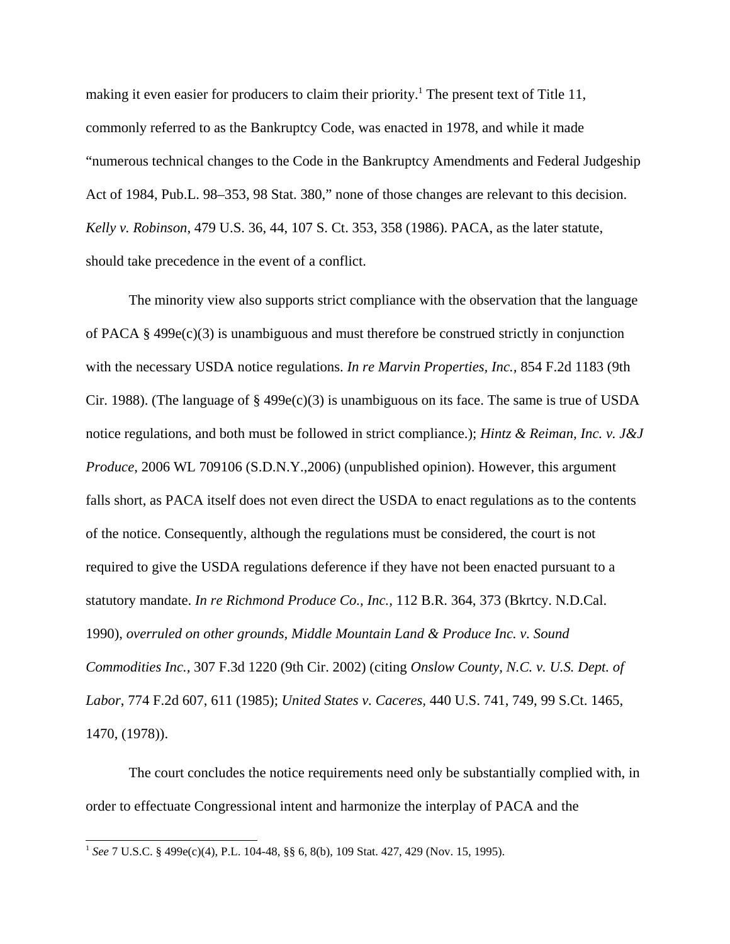making it even easier for producers to claim their priority.<sup>1</sup> The present text of Title 11, commonly referred to as the Bankruptcy Code, was enacted in 1978, and while it made "numerous technical changes to the Code in the Bankruptcy Amendments and Federal Judgeship Act of 1984, Pub.L. 98–353, 98 Stat. 380," none of those changes are relevant to this decision. *Kelly v. Robinson*, 479 U.S. 36, 44, 107 S. Ct. 353, 358 (1986). PACA, as the later statute, should take precedence in the event of a conflict.

The minority view also supports strict compliance with the observation that the language of PACA § 499e(c)(3) is unambiguous and must therefore be construed strictly in conjunction with the necessary USDA notice regulations. *In re Marvin Properties, Inc.,* 854 F.2d 1183 (9th Cir. 1988). (The language of  $\S$  499e(c)(3) is unambiguous on its face. The same is true of USDA notice regulations, and both must be followed in strict compliance.); *Hintz & Reiman, Inc. v. J&J Produce*, 2006 WL 709106 (S.D.N.Y., 2006) (unpublished opinion). However, this argument falls short, as PACA itself does not even direct the USDA to enact regulations as to the contents of the notice. Consequently, although the regulations must be considered, the court is not required to give the USDA regulations deference if they have not been enacted pursuant to a statutory mandate. *In re Richmond Produce Co., Inc.,* 112 B.R. 364, 373 (Bkrtcy. N.D.Cal. 1990), *overruled on other grounds, Middle Mountain Land & Produce Inc. v. Sound Commodities Inc.,* 307 F.3d 1220 (9th Cir. 2002) (citing *Onslow County, N.C. v. U.S. Dept. of Labor*, 774 F.2d 607, 611 (1985); *United States v. Caceres,* 440 U.S. 741, 749, 99 S.Ct. 1465, 1470, (1978)).

The court concludes the notice requirements need only be substantially complied with, in order to effectuate Congressional intent and harmonize the interplay of PACA and the

<sup>1</sup> *See* 7 U.S.C. § 499e(c)(4), P.L. 104-48, §§ 6, 8(b), 109 Stat. 427, 429 (Nov. 15, 1995).